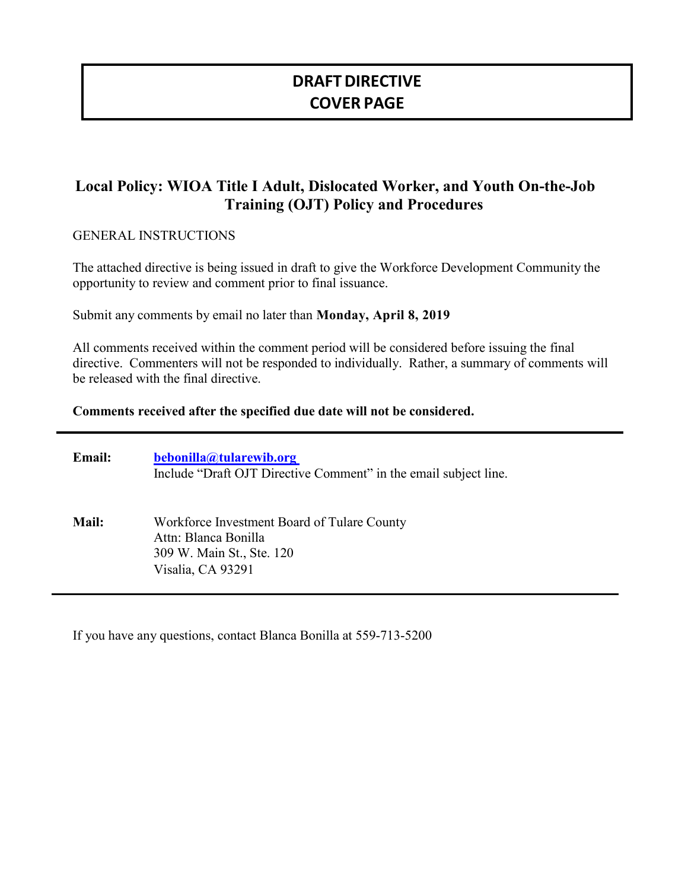# **DRAFTDIRECTIVE COVER PAGE**

# **Local Policy: WIOA Title I Adult, Dislocated Worker, and Youth On-the-Job Training (OJT) Policy and Procedures**

GENERAL INSTRUCTIONS

The attached directive is being issued in draft to give the Workforce Development Community the opportunity to review and comment prior to final issuance.

Submit any comments by email no later than **Monday, April 8, 2019**

All comments received within the comment period will be considered before issuing the final directive. Commenters will not be responded to individually. Rather, a summary of comments will be released with the final directive.

#### **Comments received after the specified due date will not be considered.**

| <b>Email:</b> | bebonilla@tularewib.org<br>Include "Draft OJT Directive Comment" in the email subject line.                           |
|---------------|-----------------------------------------------------------------------------------------------------------------------|
| <b>Mail:</b>  | Workforce Investment Board of Tulare County<br>Attn: Blanca Bonilla<br>309 W. Main St., Ste. 120<br>Visalia, CA 93291 |

If you have any questions, contact Blanca Bonilla at 559-713-5200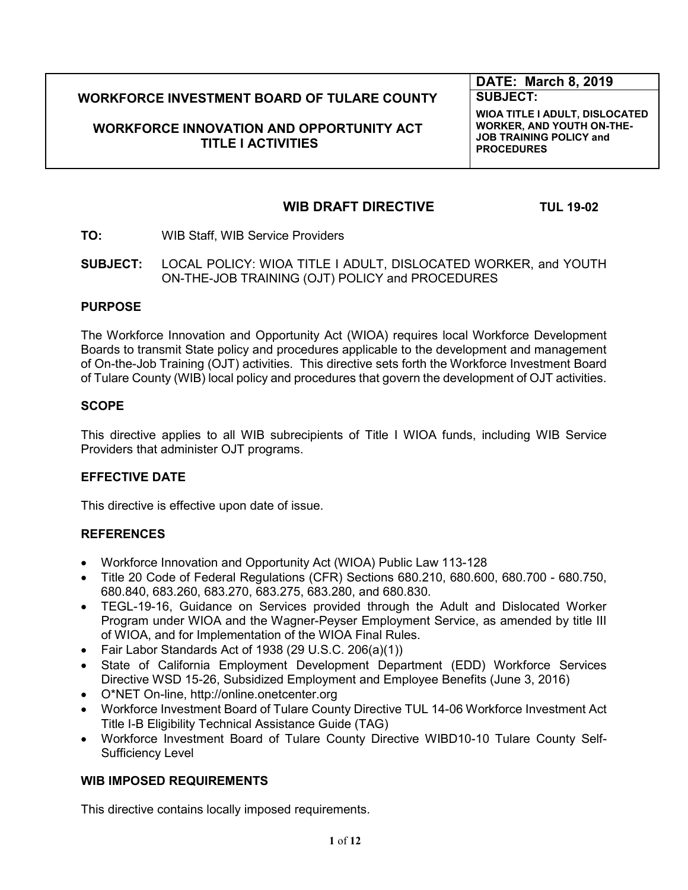## **WORKFORCE INNOVATION AND OPPORTUNITY ACT TITLE I ACTIVITIES**

**DATE: March 8, 2019 SUBJECT:**

**WIOA TITLE I ADULT, DISLOCATED WORKER, AND YOUTH ON-THE-JOB TRAINING POLICY and PROCEDURES**

# **WIB DRAFT DIRECTIVE TUL 19-02**

- **TO:** WIB Staff, WIB Service Providers
- **SUBJECT:** LOCAL POLICY: WIOA TITLE I ADULT, DISLOCATED WORKER, and YOUTH ON-THE-JOB TRAINING (OJT) POLICY and PROCEDURES

# **PURPOSE**

The Workforce Innovation and Opportunity Act (WIOA) requires local Workforce Development Boards to transmit State policy and procedures applicable to the development and management of On-the-Job Training (OJT) activities. This directive sets forth the Workforce Investment Board of Tulare County (WIB) local policy and procedures that govern the development of OJT activities.

## **SCOPE**

This directive applies to all WIB subrecipients of Title I WIOA funds, including WIB Service Providers that administer OJT programs.

# **EFFECTIVE DATE**

This directive is effective upon date of issue.

# **REFERENCES**

- Workforce Innovation and Opportunity Act (WIOA) Public Law 113-128
- Title 20 Code of Federal Regulations (CFR) Sections 680.210, 680.600, 680.700 680.750, 680.840, 683.260, 683.270, 683.275, 683.280, and 680.830.
- TEGL-19-16, Guidance on Services provided through the Adult and Dislocated Worker Program under WIOA and the Wagner-Peyser Employment Service, as amended by title III of WIOA, and for Implementation of the WIOA Final Rules.
- Fair Labor Standards Act of 1938 (29 U.S.C. 206(a)(1))
- State of California Employment Development Department (EDD) Workforce Services Directive WSD 15-26, Subsidized Employment and Employee Benefits (June 3, 2016)
- O\*NET On-line, [http://online.onetcenter.org](http://online.onetcenter.org/)
- Workforce Investment Board of Tulare County Directive TUL 14-06 Workforce Investment Act Title I-B Eligibility Technical Assistance Guide (TAG)
- Workforce Investment Board of Tulare County Directive WIBD10-10 Tulare County Self-Sufficiency Level

# **WIB IMPOSED REQUIREMENTS**

This directive contains locally imposed requirements.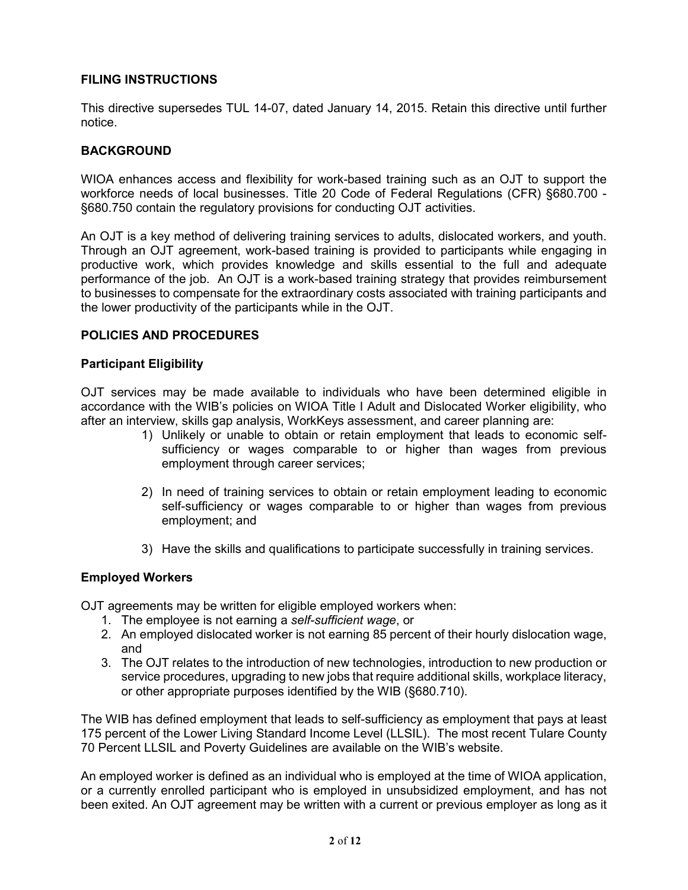## **FILING INSTRUCTIONS**

This directive supersedes TUL 14-07, dated January 14, 2015. Retain this directive until further notice.

#### **BACKGROUND**

WIOA enhances access and flexibility for work-based training such as an OJT to support the workforce needs of local businesses. Title 20 Code of Federal Regulations (CFR) §680.700 - §680.750 contain the regulatory provisions for conducting OJT activities.

An OJT is a key method of delivering training services to adults, dislocated workers, and youth. Through an OJT agreement, work-based training is provided to participants while engaging in productive work, which provides knowledge and skills essential to the full and adequate performance of the job. An OJT is a work-based training strategy that provides reimbursement to businesses to compensate for the extraordinary costs associated with training participants and the lower productivity of the participants while in the OJT.

#### **POLICIES AND PROCEDURES**

#### **Participant Eligibility**

OJT services may be made available to individuals who have been determined eligible in accordance with the WIB's policies on WIOA Title I Adult and Dislocated Worker eligibility, who after an interview, skills gap analysis, WorkKeys assessment, and career planning are:

- 1) Unlikely or unable to obtain or retain employment that leads to economic selfsufficiency or wages comparable to or higher than wages from previous employment through career services;
- 2) In need of training services to obtain or retain employment leading to economic self-sufficiency or wages comparable to or higher than wages from previous employment; and
- 3) Have the skills and qualifications to participate successfully in training services.

#### **Employed Workers**

OJT agreements may be written for eligible employed workers when:

- 1. The employee is not earning a *self-sufficient wage*, or
- 2. An employed dislocated worker is not earning 85 percent of their hourly dislocation wage, and
- 3. The OJT relates to the introduction of new technologies, introduction to new production or service procedures, upgrading to new jobs that require additional skills, workplace literacy, or other appropriate purposes identified by the WIB (§680.710).

The WIB has defined employment that leads to self-sufficiency as employment that pays at least 175 percent of the Lower Living Standard Income Level (LLSIL). The most recent Tulare County 70 Percent LLSIL and Poverty Guidelines are available on the WIB's website.

An employed worker is defined as an individual who is employed at the time of WIOA application, or a currently enrolled participant who is employed in unsubsidized employment, and has not been exited. An OJT agreement may be written with a current or previous employer as long as it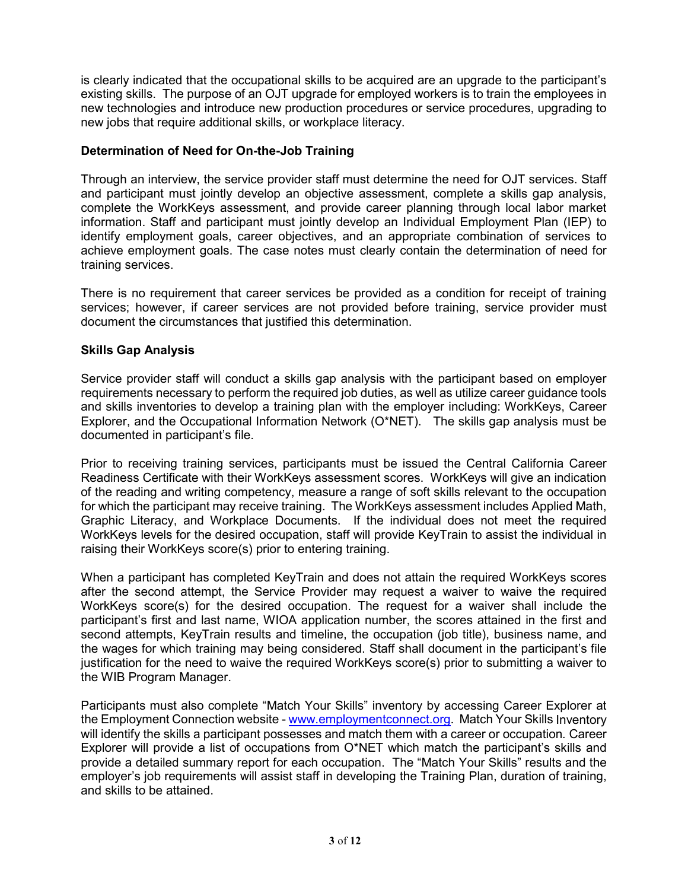is clearly indicated that the occupational skills to be acquired are an upgrade to the participant's existing skills. The purpose of an OJT upgrade for employed workers is to train the employees in new technologies and introduce new production procedures or service procedures, upgrading to new jobs that require additional skills, or workplace literacy.

## **Determination of Need for On-the-Job Training**

Through an interview, the service provider staff must determine the need for OJT services. Staff and participant must jointly develop an objective assessment, complete a skills gap analysis, complete the WorkKeys assessment, and provide career planning through local labor market information. Staff and participant must jointly develop an Individual Employment Plan (IEP) to identify employment goals, career objectives, and an appropriate combination of services to achieve employment goals. The case notes must clearly contain the determination of need for training services.

There is no requirement that career services be provided as a condition for receipt of training services; however, if career services are not provided before training, service provider must document the circumstances that justified this determination.

## **Skills Gap Analysis**

Service provider staff will conduct a skills gap analysis with the participant based on employer requirements necessary to perform the required job duties, as well as utilize career guidance tools and skills inventories to develop a training plan with the employer including: WorkKeys, Career Explorer, and the Occupational Information Network (O\*NET). The skills gap analysis must be documented in participant's file.

Prior to receiving training services, participants must be issued the Central California Career Readiness Certificate with their WorkKeys assessment scores. WorkKeys will give an indication of the reading and writing competency, measure a range of soft skills relevant to the occupation for which the participant may receive training. The WorkKeys assessment includes Applied Math, Graphic Literacy, and Workplace Documents. If the individual does not meet the required WorkKeys levels for the desired occupation, staff will provide KeyTrain to assist the individual in raising their WorkKeys score(s) prior to entering training.

When a participant has completed KeyTrain and does not attain the required WorkKeys scores after the second attempt, the Service Provider may request a waiver to waive the required WorkKeys score(s) for the desired occupation. The request for a waiver shall include the participant's first and last name, WIOA application number, the scores attained in the first and second attempts, KeyTrain results and timeline, the occupation (job title), business name, and the wages for which training may being considered. Staff shall document in the participant's file justification for the need to waive the required WorkKeys score(s) prior to submitting a waiver to the WIB Program Manager.

Participants must also complete "Match Your Skills" inventory by accessing Career Explorer at the Employment Connection website - [www.employmentconnect.org.](http://www.employmentconnect.org/) [Match Your Skills](https://www.employmentconnect.org/selfassessment/skills.asp?whereto=onetgrpbutt) Inventory will identify the skills a participant possesses and match them with a career or occupation*.* Career Explorer will provide a list of occupations from O\*NET which match the participant's skills and provide a detailed summary report for each occupation. The "Match Your Skills" results and the employer's job requirements will assist staff in developing the Training Plan, duration of training, and skills to be attained.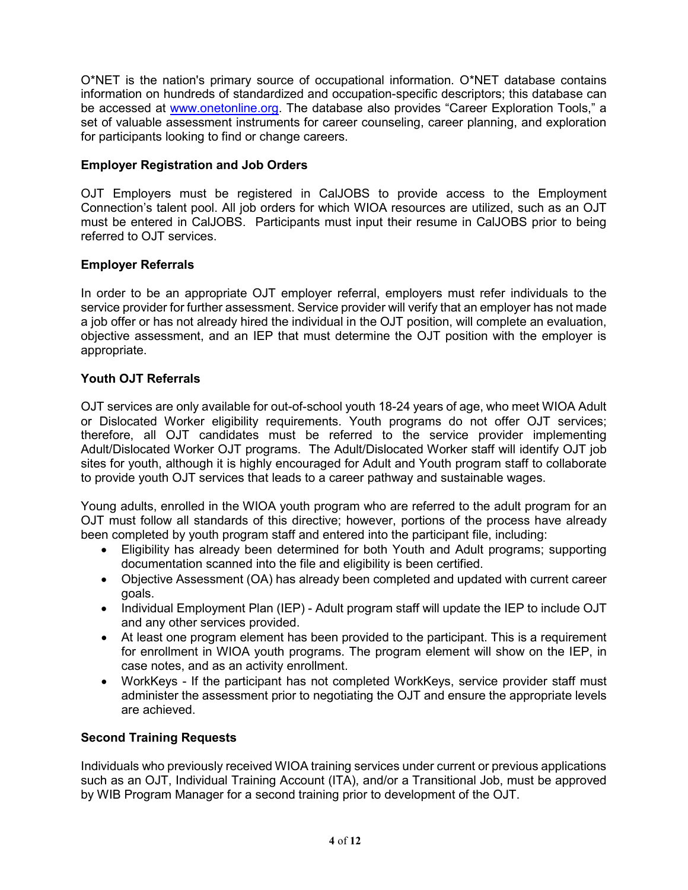O\*NET is the nation's primary source of occupational information. O\*NET database contains information on hundreds of standardized and occupation-specific descriptors; this database can be accessed at [www.onetonline.org.](http://www.onetonline.org/) The database also provides "Career Exploration Tools," a set of valuable assessment instruments for career counseling, career planning, and exploration for participants looking to find or change careers.

# **Employer Registration and Job Orders**

OJT Employers must be registered in CalJOBS to provide access to the Employment Connection's talent pool. All job orders for which WIOA resources are utilized, such as an OJT must be entered in CalJOBS. Participants must input their resume in CalJOBS prior to being referred to OJT services.

# **Employer Referrals**

In order to be an appropriate OJT employer referral, employers must refer individuals to the service provider for further assessment. Service provider will verify that an employer has not made a job offer or has not already hired the individual in the OJT position, will complete an evaluation, objective assessment, and an IEP that must determine the OJT position with the employer is appropriate.

# **Youth OJT Referrals**

OJT services are only available for out-of-school youth 18-24 years of age, who meet WIOA Adult or Dislocated Worker eligibility requirements. Youth programs do not offer OJT services; therefore, all OJT candidates must be referred to the service provider implementing Adult/Dislocated Worker OJT programs. The Adult/Dislocated Worker staff will identify OJT job sites for youth, although it is highly encouraged for Adult and Youth program staff to collaborate to provide youth OJT services that leads to a career pathway and sustainable wages.

Young adults, enrolled in the WIOA youth program who are referred to the adult program for an OJT must follow all standards of this directive; however, portions of the process have already been completed by youth program staff and entered into the participant file, including:

- Eligibility has already been determined for both Youth and Adult programs; supporting documentation scanned into the file and eligibility is been certified.
- Objective Assessment (OA) has already been completed and updated with current career goals.
- Individual Employment Plan (IEP) Adult program staff will update the IEP to include OJT and any other services provided.
- At least one program element has been provided to the participant. This is a requirement for enrollment in WIOA youth programs. The program element will show on the IEP, in case notes, and as an activity enrollment.
- WorkKeys If the participant has not completed WorkKeys, service provider staff must administer the assessment prior to negotiating the OJT and ensure the appropriate levels are achieved.

# **Second Training Requests**

Individuals who previously received WIOA training services under current or previous applications such as an OJT, Individual Training Account (ITA), and/or a Transitional Job, must be approved by WIB Program Manager for a second training prior to development of the OJT.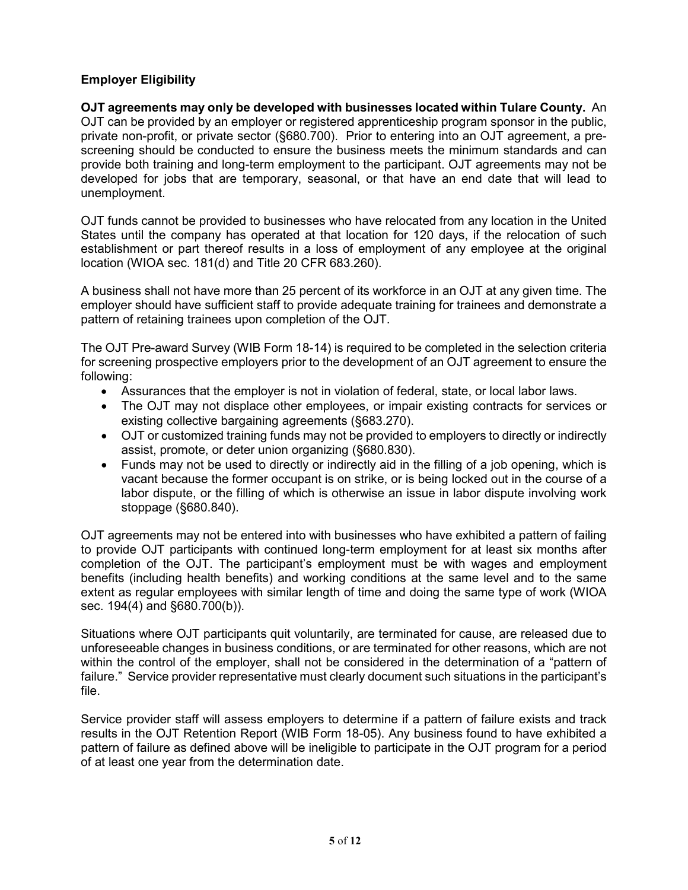# **Employer Eligibility**

**OJT agreements may only be developed with businesses located within Tulare County.** An OJT can be provided by an employer or registered apprenticeship program sponsor in the public, private non-profit, or private sector (§680.700). Prior to entering into an OJT agreement, a prescreening should be conducted to ensure the business meets the minimum standards and can provide both training and long-term employment to the participant. OJT agreements may not be developed for jobs that are temporary, seasonal, or that have an end date that will lead to unemployment.

OJT funds cannot be provided to businesses who have relocated from any location in the United States until the company has operated at that location for 120 days, if the relocation of such establishment or part thereof results in a loss of employment of any employee at the original location (WIOA sec. 181(d) and Title 20 CFR 683.260).

A business shall not have more than 25 percent of its workforce in an OJT at any given time. The employer should have sufficient staff to provide adequate training for trainees and demonstrate a pattern of retaining trainees upon completion of the OJT.

The OJT Pre-award Survey (WIB Form 18-14) is required to be completed in the selection criteria for screening prospective employers prior to the development of an OJT agreement to ensure the following:

- Assurances that the employer is not in violation of federal, state, or local labor laws.
- The OJT may not displace other employees, or impair existing contracts for services or existing collective bargaining agreements (§683.270).
- OJT or customized training funds may not be provided to employers to directly or indirectly assist, promote, or deter union organizing (§680.830).
- Funds may not be used to directly or indirectly aid in the filling of a job opening, which is vacant because the former occupant is on strike, or is being locked out in the course of a labor dispute, or the filling of which is otherwise an issue in labor dispute involving work stoppage (§680.840).

OJT agreements may not be entered into with businesses who have exhibited a pattern of failing to provide OJT participants with continued long-term employment for at least six months after completion of the OJT. The participant's employment must be with wages and employment benefits (including health benefits) and working conditions at the same level and to the same extent as regular employees with similar length of time and doing the same type of work (WIOA sec. 194(4) and §680.700(b)).

Situations where OJT participants quit voluntarily, are terminated for cause, are released due to unforeseeable changes in business conditions, or are terminated for other reasons, which are not within the control of the employer, shall not be considered in the determination of a "pattern of failure." Service provider representative must clearly document such situations in the participant's file.

Service provider staff will assess employers to determine if a pattern of failure exists and track results in the OJT Retention Report (WIB Form 18-05). Any business found to have exhibited a pattern of failure as defined above will be ineligible to participate in the OJT program for a period of at least one year from the determination date.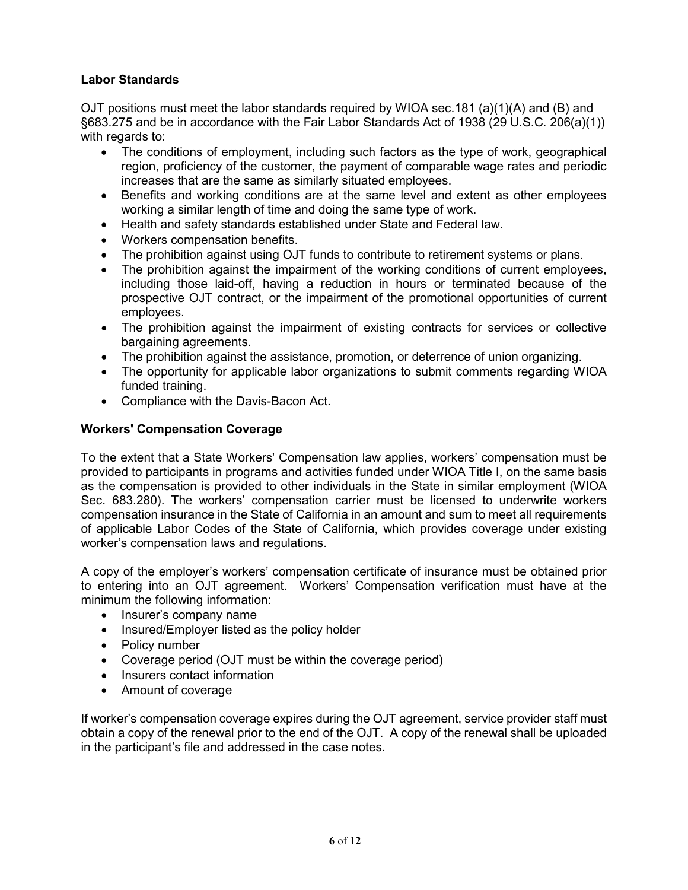## **Labor Standards**

OJT positions must meet the labor standards required by WIOA sec.181 (a)(1)(A) and (B) and §683.275 and be in accordance with the Fair Labor Standards Act of 1938 (29 U.S.C. 206(a)(1)) with regards to:

- The conditions of employment, including such factors as the type of work, geographical region, proficiency of the customer, the payment of comparable wage rates and periodic increases that are the same as similarly situated employees.
- Benefits and working conditions are at the same level and extent as other employees working a similar length of time and doing the same type of work.
- Health and safety standards established under State and Federal law.
- Workers compensation benefits.
- The prohibition against using OJT funds to contribute to retirement systems or plans.
- The prohibition against the impairment of the working conditions of current employees, including those laid-off, having a reduction in hours or terminated because of the prospective OJT contract, or the impairment of the promotional opportunities of current employees.
- The prohibition against the impairment of existing contracts for services or collective bargaining agreements.
- The prohibition against the assistance, promotion, or deterrence of union organizing.
- The opportunity for applicable labor organizations to submit comments regarding WIOA funded training.
- Compliance with the Davis-Bacon Act.

## **Workers' Compensation Coverage**

To the extent that a State Workers' Compensation law applies, workers' compensation must be provided to participants in programs and activities funded under WIOA Title I, on the same basis as the compensation is provided to other individuals in the State in similar employment (WIOA Sec. 683.280). The workers' compensation carrier must be licensed to underwrite workers compensation insurance in the State of California in an amount and sum to meet all requirements of applicable Labor Codes of the State of California, which provides coverage under existing worker's compensation laws and regulations.

A copy of the employer's workers' compensation certificate of insurance must be obtained prior to entering into an OJT agreement. Workers' Compensation verification must have at the minimum the following information:

- Insurer's company name
- Insured/Employer listed as the policy holder
- Policy number
- Coverage period (OJT must be within the coverage period)
- Insurers contact information
- Amount of coverage

If worker's compensation coverage expires during the OJT agreement, service provider staff must obtain a copy of the renewal prior to the end of the OJT. A copy of the renewal shall be uploaded in the participant's file and addressed in the case notes.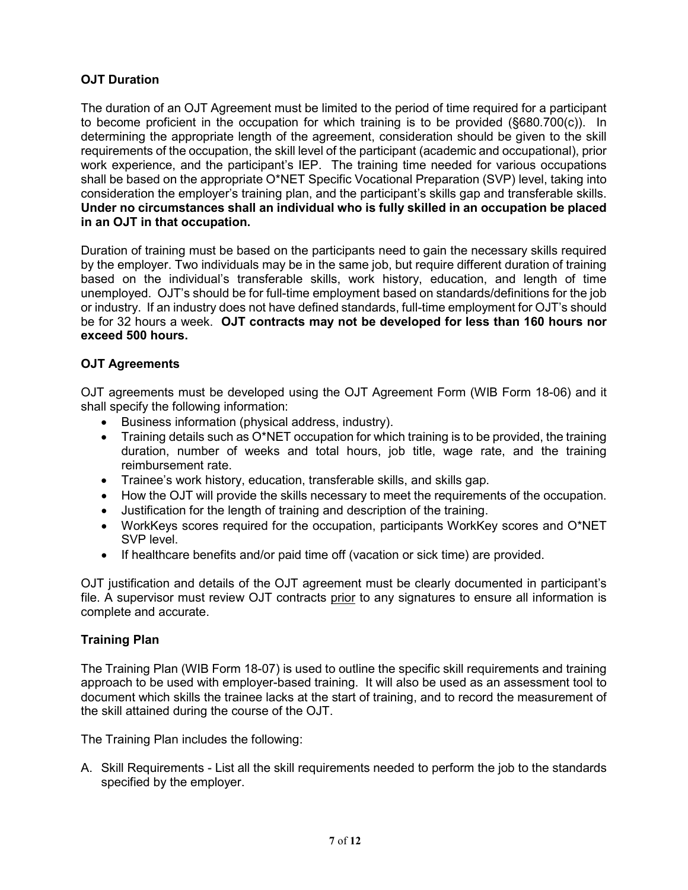# **OJT Duration**

The duration of an OJT Agreement must be limited to the period of time required for a participant to become proficient in the occupation for which training is to be provided (§680.700(c)). In determining the appropriate length of the agreement, consideration should be given to the skill requirements of the occupation, the skill level of the participant (academic and occupational), prior work experience, and the participant's IEP. The training time needed for various occupations shall be based on the appropriate O\*NET Specific Vocational Preparation (SVP) level, taking into consideration the employer's training plan, and the participant's skills gap and transferable skills. **Under no circumstances shall an individual who is fully skilled in an occupation be placed in an OJT in that occupation.** 

Duration of training must be based on the participants need to gain the necessary skills required by the employer. Two individuals may be in the same job, but require different duration of training based on the individual's transferable skills, work history, education, and length of time unemployed. OJT's should be for full-time employment based on standards/definitions for the job or industry. If an industry does not have defined standards, full-time employment for OJT's should be for 32 hours a week. **OJT contracts may not be developed for less than 160 hours nor exceed 500 hours.**

## **OJT Agreements**

OJT agreements must be developed using the OJT Agreement Form (WIB Form 18-06) and it shall specify the following information:

- Business information (physical address, industry).
- Training details such as  $O^*$ NET occupation for which training is to be provided, the training duration, number of weeks and total hours, job title, wage rate, and the training reimbursement rate.
- Trainee's work history, education, transferable skills, and skills gap.
- How the OJT will provide the skills necessary to meet the requirements of the occupation.
- Justification for the length of training and description of the training.
- WorkKeys scores required for the occupation, participants WorkKey scores and O\*NET SVP level.
- If healthcare benefits and/or paid time off (vacation or sick time) are provided.

OJT justification and details of the OJT agreement must be clearly documented in participant's file. A supervisor must review OJT contracts prior to any signatures to ensure all information is complete and accurate.

#### **Training Plan**

The Training Plan (WIB Form 18-07) is used to outline the specific skill requirements and training approach to be used with employer-based training. It will also be used as an assessment tool to document which skills the trainee lacks at the start of training, and to record the measurement of the skill attained during the course of the OJT.

The Training Plan includes the following:

A. Skill Requirements - List all the skill requirements needed to perform the job to the standards specified by the employer.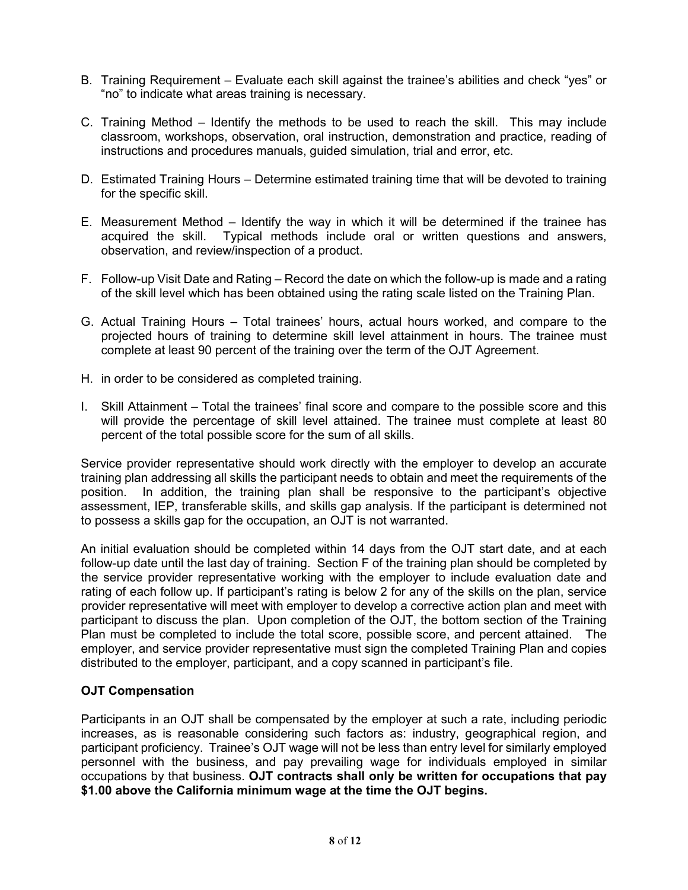- B. Training Requirement Evaluate each skill against the trainee's abilities and check "yes" or "no" to indicate what areas training is necessary.
- C. Training Method Identify the methods to be used to reach the skill. This may include classroom, workshops, observation, oral instruction, demonstration and practice, reading of instructions and procedures manuals, guided simulation, trial and error, etc.
- D. Estimated Training Hours Determine estimated training time that will be devoted to training for the specific skill.
- E. Measurement Method Identify the way in which it will be determined if the trainee has Typical methods include oral or written questions and answers, observation, and review/inspection of a product.
- F. Follow-up Visit Date and Rating Record the date on which the follow-up is made and a rating of the skill level which has been obtained using the rating scale listed on the Training Plan.
- G. Actual Training Hours Total trainees' hours, actual hours worked, and compare to the projected hours of training to determine skill level attainment in hours. The trainee must complete at least 90 percent of the training over the term of the OJT Agreement.
- H. in order to be considered as completed training.
- I. Skill Attainment Total the trainees' final score and compare to the possible score and this will provide the percentage of skill level attained. The trainee must complete at least 80 percent of the total possible score for the sum of all skills.

Service provider representative should work directly with the employer to develop an accurate training plan addressing all skills the participant needs to obtain and meet the requirements of the position. In addition, the training plan shall be responsive to the participant's objective assessment, IEP, transferable skills, and skills gap analysis. If the participant is determined not to possess a skills gap for the occupation, an OJT is not warranted.

An initial evaluation should be completed within 14 days from the OJT start date, and at each follow-up date until the last day of training. Section F of the training plan should be completed by the service provider representative working with the employer to include evaluation date and rating of each follow up. If participant's rating is below 2 for any of the skills on the plan, service provider representative will meet with employer to develop a corrective action plan and meet with participant to discuss the plan. Upon completion of the OJT, the bottom section of the Training Plan must be completed to include the total score, possible score, and percent attained. The employer, and service provider representative must sign the completed Training Plan and copies distributed to the employer, participant, and a copy scanned in participant's file.

#### **OJT Compensation**

Participants in an OJT shall be compensated by the employer at such a rate, including periodic increases, as is reasonable considering such factors as: industry, geographical region, and participant proficiency. Trainee's OJT wage will not be less than entry level for similarly employed personnel with the business, and pay prevailing wage for individuals employed in similar occupations by that business. **OJT contracts shall only be written for occupations that pay \$1.00 above the California minimum wage at the time the OJT begins.**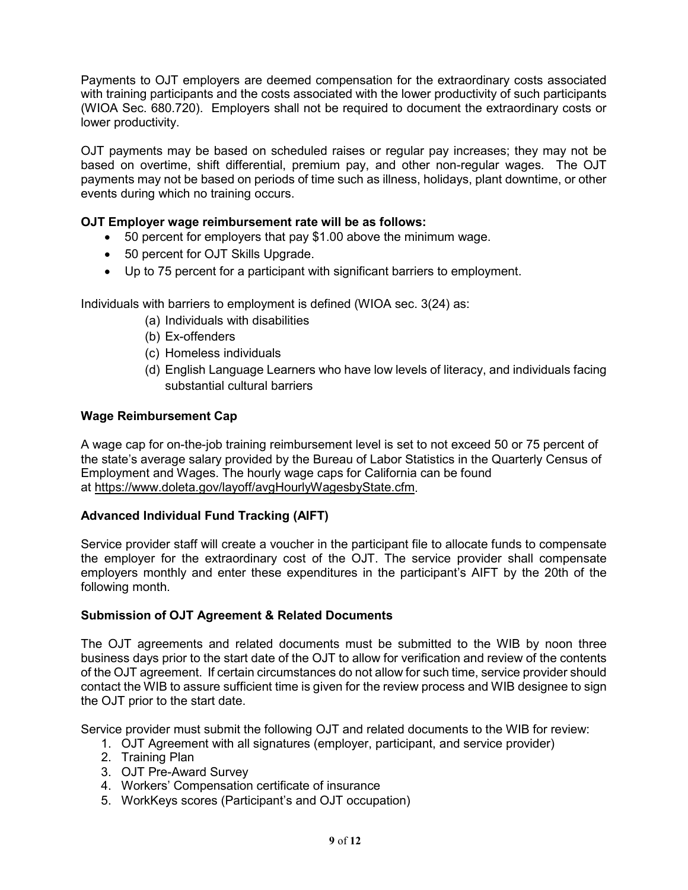Payments to OJT employers are deemed compensation for the extraordinary costs associated with training participants and the costs associated with the lower productivity of such participants (WIOA Sec. 680.720). Employers shall not be required to document the extraordinary costs or lower productivity.

OJT payments may be based on scheduled raises or regular pay increases; they may not be based on overtime, shift differential, premium pay, and other non-regular wages. The OJT payments may not be based on periods of time such as illness, holidays, plant downtime, or other events during which no training occurs.

## **OJT Employer wage reimbursement rate will be as follows:**

- 50 percent for employers that pay \$1.00 above the minimum wage.
- 50 percent for OJT Skills Upgrade.
- Up to 75 percent for a participant with significant barriers to employment.

Individuals with barriers to employment is defined (WIOA sec. 3(24) as:

- (a) Individuals with disabilities
- (b) Ex-offenders
- (c) Homeless individuals
- (d) English Language Learners who have low levels of literacy, and individuals facing substantial cultural barriers

#### **Wage Reimbursement Cap**

A wage cap for on-the-job training reimbursement level is set to not exceed 50 or 75 percent of the state's average salary provided by the Bureau of Labor Statistics in the Quarterly Census of Employment and Wages. The hourly wage caps for California can be found at https://www.doleta.gov/layoff/avgHourlyWagesbyState.cfm.

#### **Advanced Individual Fund Tracking (AIFT)**

Service provider staff will create a voucher in the participant file to allocate funds to compensate the employer for the extraordinary cost of the OJT. The service provider shall compensate employers monthly and enter these expenditures in the participant's AIFT by the 20th of the following month.

#### **Submission of OJT Agreement & Related Documents**

The OJT agreements and related documents must be submitted to the WIB by noon three business days prior to the start date of the OJT to allow for verification and review of the contents of the OJT agreement. If certain circumstances do not allow for such time, service provider should contact the WIB to assure sufficient time is given for the review process and WIB designee to sign the OJT prior to the start date.

Service provider must submit the following OJT and related documents to the WIB for review:

- 1. OJT Agreement with all signatures (employer, participant, and service provider)
- 2. Training Plan
- 3. OJT Pre-Award Survey
- 4. Workers' Compensation certificate of insurance
- 5. WorkKeys scores (Participant's and OJT occupation)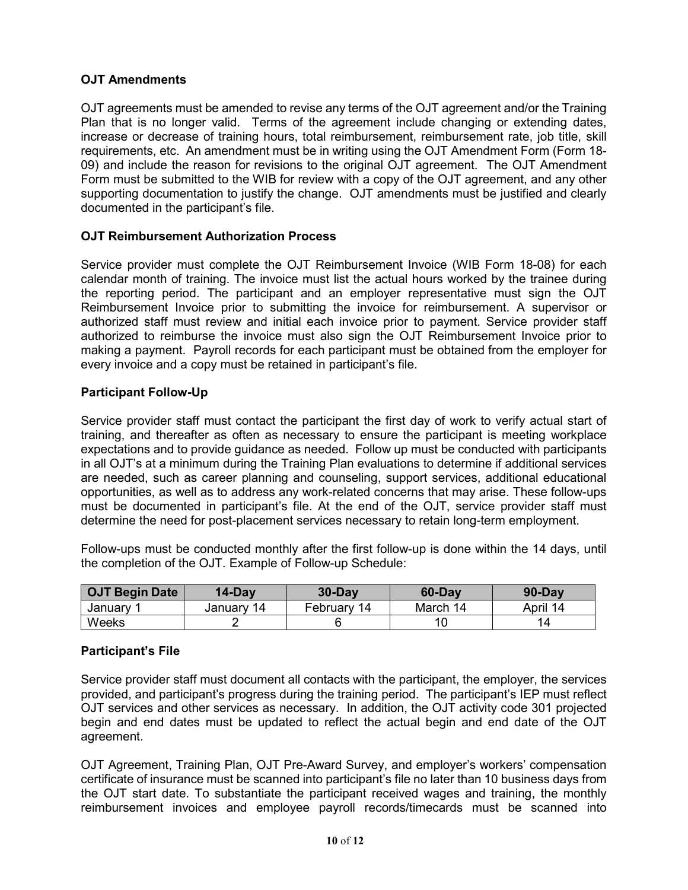# **OJT Amendments**

OJT agreements must be amended to revise any terms of the OJT agreement and/or the Training Plan that is no longer valid. Terms of the agreement include changing or extending dates, increase or decrease of training hours, total reimbursement, reimbursement rate, job title, skill requirements, etc. An amendment must be in writing using the OJT Amendment Form (Form 18- 09) and include the reason for revisions to the original OJT agreement. The OJT Amendment Form must be submitted to the WIB for review with a copy of the OJT agreement, and any other supporting documentation to justify the change. OJT amendments must be justified and clearly documented in the participant's file.

#### **OJT Reimbursement Authorization Process**

Service provider must complete the OJT Reimbursement Invoice (WIB Form 18-08) for each calendar month of training. The invoice must list the actual hours worked by the trainee during the reporting period. The participant and an employer representative must sign the OJT Reimbursement Invoice prior to submitting the invoice for reimbursement. A supervisor or authorized staff must review and initial each invoice prior to payment. Service provider staff authorized to reimburse the invoice must also sign the OJT Reimbursement Invoice prior to making a payment. Payroll records for each participant must be obtained from the employer for every invoice and a copy must be retained in participant's file.

## **Participant Follow-Up**

Service provider staff must contact the participant the first day of work to verify actual start of training, and thereafter as often as necessary to ensure the participant is meeting workplace expectations and to provide guidance as needed. Follow up must be conducted with participants in all OJT's at a minimum during the Training Plan evaluations to determine if additional services are needed, such as career planning and counseling, support services, additional educational opportunities, as well as to address any work-related concerns that may arise. These follow-ups must be documented in participant's file. At the end of the OJT, service provider staff must determine the need for post-placement services necessary to retain long-term employment.

Follow-ups must be conducted monthly after the first follow-up is done within the 14 days, until the completion of the OJT. Example of Follow-up Schedule:

| <b>OJT Begin Date</b> | $14$ -Day     | $30$ -Day       | 60-Day   | $90$ -Day |
|-----------------------|---------------|-----------------|----------|-----------|
| January               | 14<br>Januarv | -14<br>February | March 14 | April 14  |
| Weeks                 |               |                 |          | 14.       |

#### **Participant's File**

Service provider staff must document all contacts with the participant, the employer, the services provided, and participant's progress during the training period. The participant's IEP must reflect OJT services and other services as necessary. In addition, the OJT activity code 301 projected begin and end dates must be updated to reflect the actual begin and end date of the OJT agreement.

OJT Agreement, Training Plan, OJT Pre-Award Survey, and employer's workers' compensation certificate of insurance must be scanned into participant's file no later than 10 business days from the OJT start date. To substantiate the participant received wages and training, the monthly reimbursement invoices and employee payroll records/timecards must be scanned into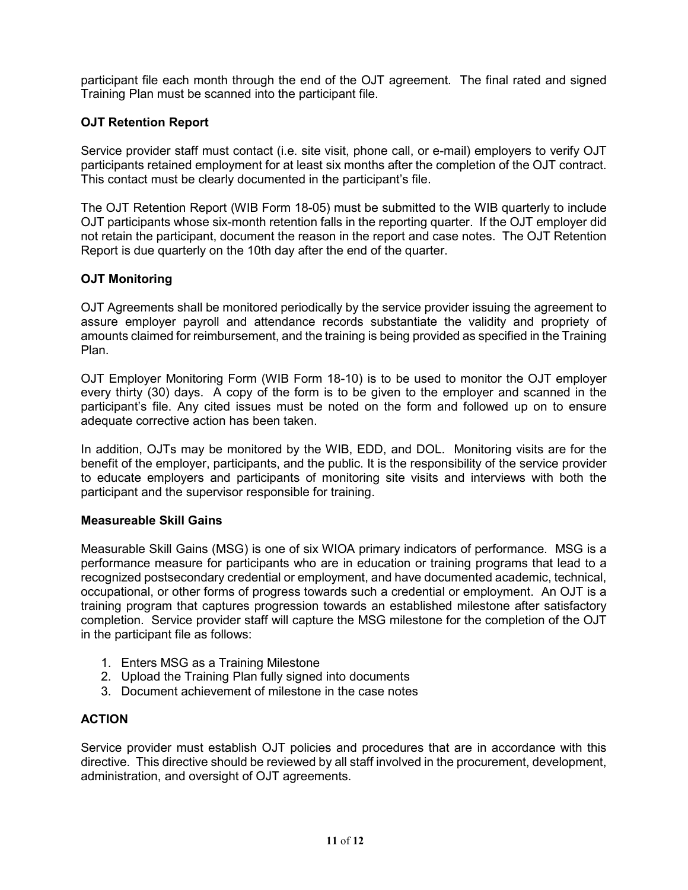participant file each month through the end of the OJT agreement. The final rated and signed Training Plan must be scanned into the participant file.

## **OJT Retention Report**

Service provider staff must contact (i.e. site visit, phone call, or e-mail) employers to verify OJT participants retained employment for at least six months after the completion of the OJT contract. This contact must be clearly documented in the participant's file.

The OJT Retention Report (WIB Form 18-05) must be submitted to the WIB quarterly to include OJT participants whose six-month retention falls in the reporting quarter. If the OJT employer did not retain the participant, document the reason in the report and case notes. The OJT Retention Report is due quarterly on the 10th day after the end of the quarter.

## **OJT Monitoring**

OJT Agreements shall be monitored periodically by the service provider issuing the agreement to assure employer payroll and attendance records substantiate the validity and propriety of amounts claimed for reimbursement, and the training is being provided as specified in the Training Plan.

OJT Employer Monitoring Form (WIB Form 18-10) is to be used to monitor the OJT employer every thirty (30) days. A copy of the form is to be given to the employer and scanned in the participant's file. Any cited issues must be noted on the form and followed up on to ensure adequate corrective action has been taken.

In addition, OJTs may be monitored by the WIB, EDD, and DOL. Monitoring visits are for the benefit of the employer, participants, and the public. It is the responsibility of the service provider to educate employers and participants of monitoring site visits and interviews with both the participant and the supervisor responsible for training.

#### **Measureable Skill Gains**

Measurable Skill Gains (MSG) is one of six WIOA primary indicators of performance. MSG is a performance measure for participants who are in education or training programs that lead to a recognized postsecondary credential or employment, and have documented academic, technical, occupational, or other forms of progress towards such a credential or employment. An OJT is a training program that captures progression towards an established milestone after satisfactory completion. Service provider staff will capture the MSG milestone for the completion of the OJT in the participant file as follows:

- 1. Enters MSG as a Training Milestone
- 2. Upload the Training Plan fully signed into documents
- 3. Document achievement of milestone in the case notes

#### **ACTION**

Service provider must establish OJT policies and procedures that are in accordance with this directive. This directive should be reviewed by all staff involved in the procurement, development, administration, and oversight of OJT agreements.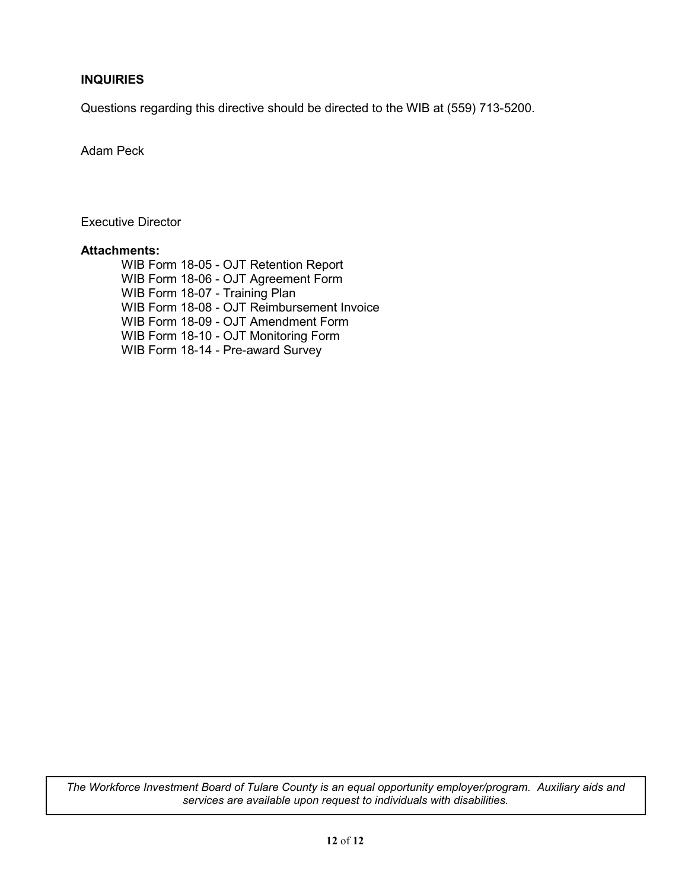## **INQUIRIES**

Questions regarding this directive should be directed to the WIB at (559) 713-5200.

Adam Peck

#### Executive Director

#### **Attachments:**

WIB Form 18-05 - OJT Retention Report WIB Form 18-06 - OJT Agreement Form WIB Form 18-07 - Training Plan WIB Form 18-08 - OJT Reimbursement Invoice WIB Form 18-09 - OJT Amendment Form WIB Form 18-10 - OJT Monitoring Form WIB Form 18-14 - Pre-award Survey

*The Workforce Investment Board of Tulare County is an equal opportunity employer/program. Auxiliary aids and services are available upon request to individuals with disabilities.*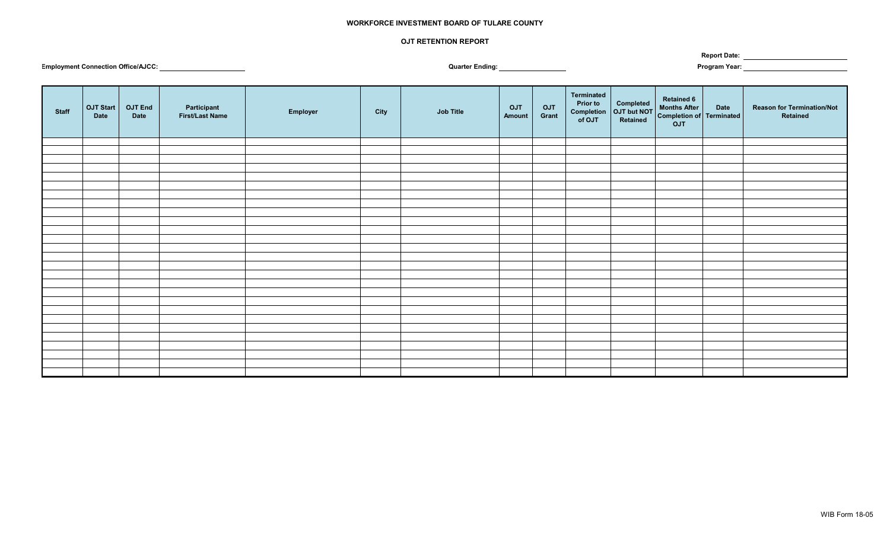#### **OJT RETENTION REPORT**

**Report Date:** 

**Employment Connection Office/AJCC: Program Year:**

**Quarter Ending:**

| <b>Staff</b> | <b>OJT Start</b><br>Date | OJT End<br>Date | Participant<br>First/Last Name | Employer | City | Job Title | <b>OJT</b><br>Amount | <b>OJT</b><br>Grant | <b>Terminated</b><br><b>Prior to</b> | Completed | Retained 6<br>Completion OJT but NOT Completion of Terminated<br>OJT | <b>Reason for Termination/Not</b><br>Retained |
|--------------|--------------------------|-----------------|--------------------------------|----------|------|-----------|----------------------|---------------------|--------------------------------------|-----------|----------------------------------------------------------------------|-----------------------------------------------|
|              |                          |                 |                                |          |      |           |                      |                     |                                      |           |                                                                      |                                               |
|              |                          |                 |                                |          |      |           |                      |                     |                                      |           |                                                                      |                                               |
|              |                          |                 |                                |          |      |           |                      |                     |                                      |           |                                                                      |                                               |
|              |                          |                 |                                |          |      |           |                      |                     |                                      |           |                                                                      |                                               |
|              |                          |                 |                                |          |      |           |                      |                     |                                      |           |                                                                      |                                               |
|              |                          |                 |                                |          |      |           |                      |                     |                                      |           |                                                                      |                                               |
|              |                          |                 |                                |          |      |           |                      |                     |                                      |           |                                                                      |                                               |
|              |                          |                 |                                |          |      |           |                      |                     |                                      |           |                                                                      |                                               |
|              |                          |                 |                                |          |      |           |                      |                     |                                      |           |                                                                      |                                               |
|              |                          |                 |                                |          |      |           |                      |                     |                                      |           |                                                                      |                                               |
|              |                          |                 |                                |          |      |           |                      |                     |                                      |           |                                                                      |                                               |
|              |                          |                 |                                |          |      |           |                      |                     |                                      |           |                                                                      |                                               |
|              |                          |                 |                                |          |      |           |                      |                     |                                      |           |                                                                      |                                               |
|              |                          |                 |                                |          |      |           |                      |                     |                                      |           |                                                                      |                                               |
|              |                          |                 |                                |          |      |           |                      |                     |                                      |           |                                                                      |                                               |
|              |                          |                 |                                |          |      |           |                      |                     |                                      |           |                                                                      |                                               |
|              |                          |                 |                                |          |      |           |                      |                     |                                      |           |                                                                      |                                               |
|              |                          |                 |                                |          |      |           |                      |                     |                                      |           |                                                                      |                                               |
|              |                          |                 |                                |          |      |           |                      |                     |                                      |           |                                                                      |                                               |
|              |                          |                 |                                |          |      |           |                      |                     |                                      |           |                                                                      |                                               |
|              |                          |                 |                                |          |      |           |                      |                     |                                      |           |                                                                      |                                               |
|              |                          |                 |                                |          |      |           |                      |                     |                                      |           |                                                                      |                                               |
|              |                          |                 |                                |          |      |           |                      |                     |                                      |           |                                                                      |                                               |
|              |                          |                 |                                |          |      |           |                      |                     |                                      |           |                                                                      |                                               |
|              |                          |                 |                                |          |      |           |                      |                     |                                      |           |                                                                      |                                               |
|              |                          |                 |                                |          |      |           |                      |                     |                                      |           |                                                                      |                                               |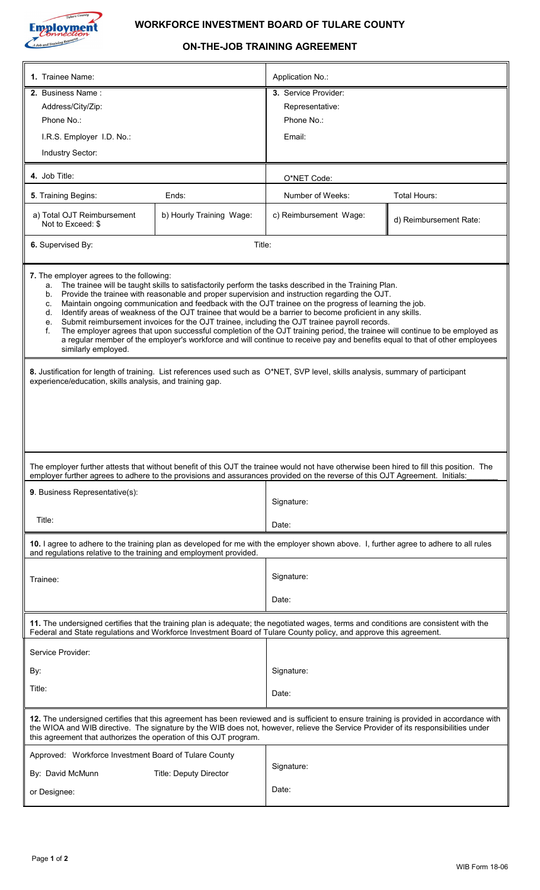

# **ON-THE-JOB TRAINING AGREEMENT**

| 1. Trainee Name:                                                                                                                                                                                                                                                                                                                                   |                               | Application No.:                                                                                                                                                                                                                                                                                                                                                                                                                                                                                                                                                                                                                                                                                                                                                                            |                        |  |  |  |
|----------------------------------------------------------------------------------------------------------------------------------------------------------------------------------------------------------------------------------------------------------------------------------------------------------------------------------------------------|-------------------------------|---------------------------------------------------------------------------------------------------------------------------------------------------------------------------------------------------------------------------------------------------------------------------------------------------------------------------------------------------------------------------------------------------------------------------------------------------------------------------------------------------------------------------------------------------------------------------------------------------------------------------------------------------------------------------------------------------------------------------------------------------------------------------------------------|------------------------|--|--|--|
| 2. Business Name:                                                                                                                                                                                                                                                                                                                                  |                               | 3. Service Provider:                                                                                                                                                                                                                                                                                                                                                                                                                                                                                                                                                                                                                                                                                                                                                                        |                        |  |  |  |
| Address/City/Zip:                                                                                                                                                                                                                                                                                                                                  |                               | Representative:                                                                                                                                                                                                                                                                                                                                                                                                                                                                                                                                                                                                                                                                                                                                                                             |                        |  |  |  |
| Phone No.:                                                                                                                                                                                                                                                                                                                                         |                               | Phone No.:                                                                                                                                                                                                                                                                                                                                                                                                                                                                                                                                                                                                                                                                                                                                                                                  |                        |  |  |  |
| I.R.S. Employer I.D. No.:                                                                                                                                                                                                                                                                                                                          |                               | Email:                                                                                                                                                                                                                                                                                                                                                                                                                                                                                                                                                                                                                                                                                                                                                                                      |                        |  |  |  |
| Industry Sector:                                                                                                                                                                                                                                                                                                                                   |                               |                                                                                                                                                                                                                                                                                                                                                                                                                                                                                                                                                                                                                                                                                                                                                                                             |                        |  |  |  |
|                                                                                                                                                                                                                                                                                                                                                    |                               |                                                                                                                                                                                                                                                                                                                                                                                                                                                                                                                                                                                                                                                                                                                                                                                             |                        |  |  |  |
| 4. Job Title:                                                                                                                                                                                                                                                                                                                                      |                               | O*NET Code:                                                                                                                                                                                                                                                                                                                                                                                                                                                                                                                                                                                                                                                                                                                                                                                 |                        |  |  |  |
| 5. Training Begins:                                                                                                                                                                                                                                                                                                                                | Ends:                         | Number of Weeks:                                                                                                                                                                                                                                                                                                                                                                                                                                                                                                                                                                                                                                                                                                                                                                            | <b>Total Hours:</b>    |  |  |  |
| a) Total OJT Reimbursement<br>Not to Exceed: \$                                                                                                                                                                                                                                                                                                    | b) Hourly Training Wage:      | c) Reimbursement Wage:                                                                                                                                                                                                                                                                                                                                                                                                                                                                                                                                                                                                                                                                                                                                                                      | d) Reimbursement Rate: |  |  |  |
| 6. Supervised By:                                                                                                                                                                                                                                                                                                                                  | Title:                        |                                                                                                                                                                                                                                                                                                                                                                                                                                                                                                                                                                                                                                                                                                                                                                                             |                        |  |  |  |
| a.<br>b.<br>c.<br>d.<br>е.<br>f.<br>similarly employed.                                                                                                                                                                                                                                                                                            |                               | The trainee will be taught skills to satisfactorily perform the tasks described in the Training Plan.<br>Provide the trainee with reasonable and proper supervision and instruction regarding the OJT.<br>Maintain ongoing communication and feedback with the OJT trainee on the progress of learning the job.<br>Identify areas of weakness of the OJT trainee that would be a barrier to become proficient in any skills.<br>Submit reimbursement invoices for the OJT trainee, including the OJT trainee payroll records.<br>The employer agrees that upon successful completion of the OJT training period, the trainee will continue to be employed as<br>a regular member of the employer's workforce and will continue to receive pay and benefits equal to that of other employees |                        |  |  |  |
| experience/education, skills analysis, and training gap.                                                                                                                                                                                                                                                                                           |                               |                                                                                                                                                                                                                                                                                                                                                                                                                                                                                                                                                                                                                                                                                                                                                                                             |                        |  |  |  |
| The employer further attests that without benefit of this OJT the trainee would not have otherwise been hired to fill this position. The<br>employer further agrees to adhere to the provisions and assurances provided on the reverse of this OJT Agreement. Initials:                                                                            |                               |                                                                                                                                                                                                                                                                                                                                                                                                                                                                                                                                                                                                                                                                                                                                                                                             |                        |  |  |  |
| 9. Business Representative(s):                                                                                                                                                                                                                                                                                                                     |                               | Signature:                                                                                                                                                                                                                                                                                                                                                                                                                                                                                                                                                                                                                                                                                                                                                                                  |                        |  |  |  |
| Title:                                                                                                                                                                                                                                                                                                                                             |                               | Date:                                                                                                                                                                                                                                                                                                                                                                                                                                                                                                                                                                                                                                                                                                                                                                                       |                        |  |  |  |
| 10. I agree to adhere to the training plan as developed for me with the employer shown above. I, further agree to adhere to all rules<br>and regulations relative to the training and employment provided.                                                                                                                                         |                               |                                                                                                                                                                                                                                                                                                                                                                                                                                                                                                                                                                                                                                                                                                                                                                                             |                        |  |  |  |
| Trainee:                                                                                                                                                                                                                                                                                                                                           |                               | Signature:                                                                                                                                                                                                                                                                                                                                                                                                                                                                                                                                                                                                                                                                                                                                                                                  |                        |  |  |  |
|                                                                                                                                                                                                                                                                                                                                                    |                               | Date:                                                                                                                                                                                                                                                                                                                                                                                                                                                                                                                                                                                                                                                                                                                                                                                       |                        |  |  |  |
| 11. The undersigned certifies that the training plan is adequate; the negotiated wages, terms and conditions are consistent with the<br>Federal and State regulations and Workforce Investment Board of Tulare County policy, and approve this agreement.                                                                                          |                               |                                                                                                                                                                                                                                                                                                                                                                                                                                                                                                                                                                                                                                                                                                                                                                                             |                        |  |  |  |
| Service Provider:                                                                                                                                                                                                                                                                                                                                  |                               |                                                                                                                                                                                                                                                                                                                                                                                                                                                                                                                                                                                                                                                                                                                                                                                             |                        |  |  |  |
| By:                                                                                                                                                                                                                                                                                                                                                |                               | Signature:                                                                                                                                                                                                                                                                                                                                                                                                                                                                                                                                                                                                                                                                                                                                                                                  |                        |  |  |  |
| Title:                                                                                                                                                                                                                                                                                                                                             |                               | Date:                                                                                                                                                                                                                                                                                                                                                                                                                                                                                                                                                                                                                                                                                                                                                                                       |                        |  |  |  |
| 12. The undersigned certifies that this agreement has been reviewed and is sufficient to ensure training is provided in accordance with<br>the WIOA and WIB directive. The signature by the WIB does not, however, relieve the Service Provider of its responsibilities under<br>this agreement that authorizes the operation of this OJT program. |                               |                                                                                                                                                                                                                                                                                                                                                                                                                                                                                                                                                                                                                                                                                                                                                                                             |                        |  |  |  |
| Approved: Workforce Investment Board of Tulare County                                                                                                                                                                                                                                                                                              |                               |                                                                                                                                                                                                                                                                                                                                                                                                                                                                                                                                                                                                                                                                                                                                                                                             |                        |  |  |  |
| By: David McMunn                                                                                                                                                                                                                                                                                                                                   | <b>Title: Deputy Director</b> | Signature:                                                                                                                                                                                                                                                                                                                                                                                                                                                                                                                                                                                                                                                                                                                                                                                  |                        |  |  |  |
| or Designee:                                                                                                                                                                                                                                                                                                                                       |                               | Date:                                                                                                                                                                                                                                                                                                                                                                                                                                                                                                                                                                                                                                                                                                                                                                                       |                        |  |  |  |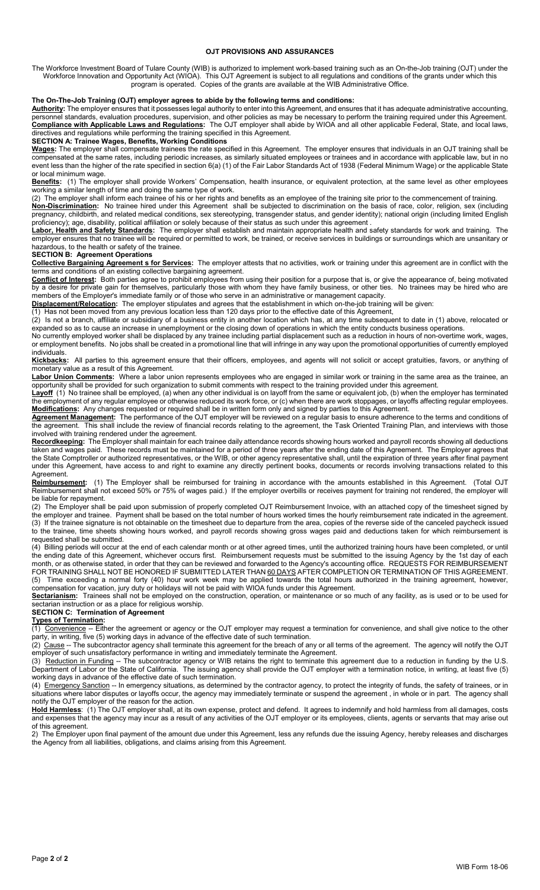#### **OJT PROVISIONS AND ASSURANCES**

The Workforce Investment Board of Tulare County (WIB) is authorized to implement work-based training such as an On-the-Job training (OJT) under the Workforce Innovation and Opportunity Act (WIOA). This OJT Agreement is subject to all regulations and conditions of the grants under which this program is operated. Copies of the grants are available at the WIB Administrative Office.

#### **The On-The-Job Training (OJT) employer agrees to abide by the following terms and conditions:**

**Authority:** The employer ensures that it possesses legal authority to enter into this Agreement, and ensures that it has adequate administrative accounting, personnel standards, evaluation procedures, supervision, and other policies as may be necessary to perform the training required under this Agreement. **Compliance with Applicable Laws and Regulations:** The OJT employer shall abide by WIOA and all other applicable Federal, State, and local laws, directives and regulations while performing the training specified in this Agreement.

#### **SECTION A: Trainee Wages, Benefits, Working Conditions**

**Wages:** The employer shall compensate trainees the rate specified in this Agreement. The employer ensures that individuals in an OJT training shall be compensated at the same rates, including periodic increases, as similarly situated employees or trainees and in accordance with applicable law, but in no event less than the higher of the rate specified in section 6(a) (1) of the Fair Labor Standards Act of 1938 (Federal Minimum Wage) or the applicable State or local minimum wage.

**Benefits:** (1) The employer shall provide Workers' Compensation, health insurance, or equivalent protection, at the same level as other employees working a similar length of time and doing the same type of work.

(2) The employer shall inform each trainee of his or her rights and benefits as an employee of the training site prior to the commencement of training. **Non-Discrimination:** No trainee hired under this Agreement shall be subjected to discrimination on the basis of race, color, religion, sex (including pregnancy, childbirth, and related medical conditions, sex stereotyping, transgender status, and gender identity); national origin (including limited English proficiency); age, disability, political affiliation or solely because of their status as such under this agreement .

**Labor, Health and Safety Standards:** The employer shall establish and maintain appropriate health and safety standards for work and training. The employer ensures that no trainee will be required or permitted to work, be trained, or receive services in buildings or surroundings which are unsanitary or hazardous, to the health or safety of the trainee.

#### **SECTION B: Agreement Operations**

**Collective Bargaining Agreement s for Services:** The employer attests that no activities, work or training under this agreement are in conflict with the terms and conditions of an existing collective bargaining agreement.

**Conflict of Interest:** Both parties agree to prohibit employees from using their position for a purpose that is, or give the appearance of, being motivated by a desire for private gain for themselves, particularly those with whom they have family business, or other ties. No trainees may be hired who are members of the Employer's immediate family or of those who serve in an administrative or management capacity.

**Displacement/Relocation:** The employer stipulates and agrees that the establishment in which on-the-job training will be given:

(1) Has not been moved from any previous location less than 120 days prior to the effective date of this Agreement,

(2) Is not a branch, affiliate or subsidiary of a business entity in another location which has, at any time subsequent to date in (1) above, relocated or expanded so as to cause an increase in unemployment or the closing down of operations in which the entity conducts business operations.

No currently employed worker shall be displaced by any trainee including partial displacement such as a reduction in hours of non-overtime work, wages, or employment benefits. No jobs shall be created in a promotional line that will infringe in any way upon the promotional opportunities of currently employed individuals.

**Kickbacks:** All parties to this agreement ensure that their officers, employees, and agents will not solicit or accept gratuities, favors, or anything of monetary value as a result of this Agreement.

Labor Union Comments: Where a labor union represents employees who are engaged in similar work or training in the same area as the trainee, an opportunity shall be provided for such organization to submit comments with respect to the training provided under this agreement.

**Layoff** (1) No trainee shall be employed, (a) when any other individual is on layoff from the same or equivalent job, (b) when the employer has terminated the employment of any regular employee or otherwise reduced its work force, or (c) when there are work stoppages, or layoffs affecting regular employees. **Modifications:** Any changes requested or required shall be in written form only and signed by parties to this Agreement.

**Agreement Management:** The performance of the OJT employer will be reviewed on a regular basis to ensure adherence to the terms and conditions of the agreement. This shall include the review of financial records relating to the agreement, the Task Oriented Training Plan, and interviews with those involved with training rendered under the agreement.

**Recordkeeping:** The Employer shall maintain for each trainee daily attendance records showing hours worked and payroll records showing all deductions taken and wages paid. These records must be maintained for a period of three years after the ending date of this Agreement. The Employer agrees that the State Comptroller or authorized representatives, or the WIB, or other agency representative shall, until the expiration of three years after final payment under this Agreement, have access to and right to examine any directly pertinent books, documents or records involving transactions related to this Agreement.

**Reimbursement:** (1) The Employer shall be reimbursed for training in accordance with the amounts established in this Agreement. (Total OJT Reimbursement shall not exceed 50% or 75% of wages paid.) If the employer overbills or receives payment for training not rendered, the employer will be liable for repayment.

(2) The Employer shall be paid upon submission of properly completed OJT Reimbursement Invoice, with an attached copy of the timesheet signed by the employer and trainee. Payment shall be based on the total number of hours worked times the hourly reimbursement rate indicated in the agreement. (3) If the trainee signature is not obtainable on the timesheet due to departure from the area, copies of the reverse side of the canceled paycheck issued to the trainee, time sheets showing hours worked, and payroll records showing gross wages paid and deductions taken for which reimbursement is requested shall be submitted.

(4) Billing periods will occur at the end of each calendar month or at other agreed times, until the authorized training hours have been completed, or until the ending date of this Agreement, whichever occurs first. Reimbursement requests must be submitted to the issuing Agency by the 1st day of each month, or as otherwise stated, in order that they can be reviewed and forwarded to the Agency's accounting office. REQUESTS FOR REIMBURSEMENT FOR TRAINING SHALL NOT BE HONORED IF SUBMITTED LATER THAN <u>60 DAYS</u> AFTER COMPLETION OR TERMINATION OF THIS AGREEMENT. (5) Time exceeding a normal forty (40) hour work week may be applied towards the total hours authorized in the training agreement, however, compensation for vacation, jury duty or holidays will not be paid with WIOA funds under this Agreement.

**Sectarianism:** Trainees shall not be employed on the construction, operation, or maintenance or so much of any facility, as is used or to be used for sectarian instruction or as a place for religious worship.

**SECTION C: Termination of Agreement** 

#### **Types of Termination:**

 $\overline{(1)}$  Convenience -- Either the agreement or agency or the OJT employer may request a termination for convenience, and shall give notice to the other party, in writing, five (5) working days in advance of the effective date of such termination.

(2) Cause -- The subcontractor agency shall terminate this agreement for the breach of any or all terms of the agreement. The agency will notify the OJT employer of such unsatisfactory performance in writing and immediately terminate the Agreement.

(3) Reduction in Funding -- The subcontractor agency or WIB retains the right to terminate this agreement due to a reduction in funding by the U.S. Department of Labor or the State of California. The issuing agency shall provide the OJT employer with a termination notice, in writing, at least five (5) working days in advance of the effective date of such termination.

(4) Emergency Sanction -- In emergency situations, as determined by the contractor agency, to protect the integrity of funds, the safety of trainees, or in situations where labor disputes or layoffs occur, the agency may immediately terminate or suspend the agreement , in whole or in part. The agency shall notify the OJT employer of the reason for the action.

**Hold Harmless**: (1) The OJT employer shall, at its own expense, protect and defend. It agrees to indemnify and hold harmless from all damages, costs and expenses that the agency may incur as a result of any activities of the OJT employer or its employees, clients, agents or servants that may arise out of this agreement.

2) The Employer upon final payment of the amount due under this Agreement, less any refunds due the issuing Agency, hereby releases and discharges the Agency from all liabilities, obligations, and claims arising from this Agreement.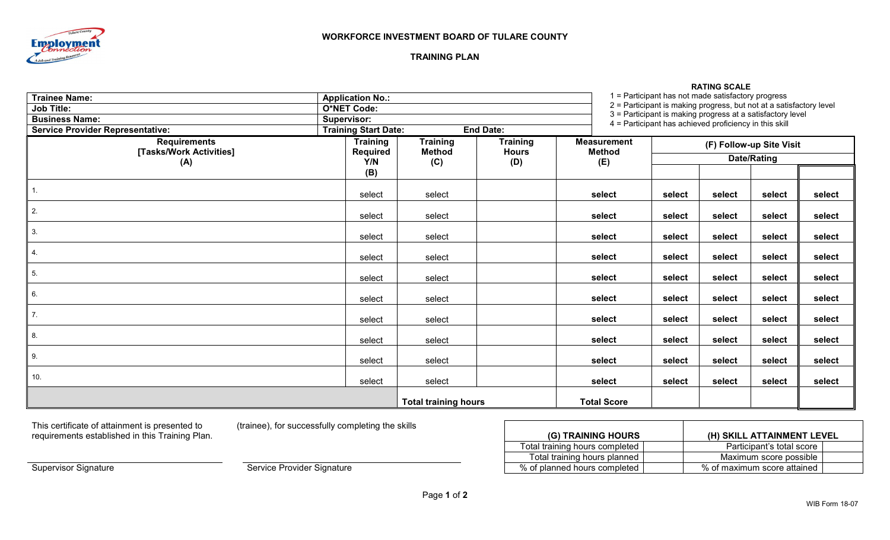

**Business Name:** 

#### **WORKFORCE INVESTMENT BOARD OF TULARE COUNTY**

#### **TRAINING PLAN**

#### **RATING SCALE**

1 = Participant has not made satisfactory progress

2 = Participant is making progress, but not at a satisfactory level

3 = Participant is making progress at a satisfactory level

4 = Participant has achieved proficiency in this skill

| <b>Service Provider Representative:</b>               | -----------<br><b>Training Start Date:</b> |                                         | $4$ = Participant has achieved proficiency in this skill<br><b>End Date:</b> |                                            |                                         |        |        |        |
|-------------------------------------------------------|--------------------------------------------|-----------------------------------------|------------------------------------------------------------------------------|--------------------------------------------|-----------------------------------------|--------|--------|--------|
| <b>Requirements</b><br>[Tasks/Work Activities]<br>(A) | <b>Training</b><br><b>Required</b><br>Y/N  | <b>Training</b><br><b>Method</b><br>(C) | <b>Training</b><br><b>Hours</b><br>(D)                                       | <b>Measurement</b><br><b>Method</b><br>(E) | (F) Follow-up Site Visit<br>Date/Rating |        |        |        |
|                                                       | (B)                                        |                                         |                                                                              |                                            |                                         |        |        |        |
| 1.                                                    | select                                     | select                                  |                                                                              | select                                     | select                                  | select | select | select |
| 2.                                                    | select                                     | select                                  |                                                                              | select                                     | select                                  | select | select | select |
| 3.                                                    | select                                     | select                                  |                                                                              | select                                     | select                                  | select | select | select |
| 4.                                                    | select                                     | select                                  |                                                                              | select                                     | select                                  | select | select | select |
| 5.                                                    | select                                     | select                                  |                                                                              | select                                     | select                                  | select | select | select |
| 6.                                                    | select                                     | select                                  |                                                                              | select                                     | select                                  | select | select | select |
| 7.                                                    | select                                     | select                                  |                                                                              | select                                     | select                                  | select | select | select |
| 8.                                                    | select                                     | select                                  |                                                                              | select                                     | select                                  | select | select | select |
| 9.                                                    | select                                     | select                                  |                                                                              | select                                     | select                                  | select | select | select |
| 10.                                                   | select                                     | select                                  |                                                                              | select                                     | select                                  | select | select | select |
|                                                       |                                            | <b>Total training hours</b>             |                                                                              | <b>Total Score</b>                         |                                         |        |        |        |

This certificate of attainment is presented to (trainee), for successfully completing the skills requirements established in this Training Plan.

Trainee Name: <br> **Application No.:**<br> **Application No.:**<br> **Application No.:**<br> **Application No.:**<br> **Application No.:** 

**O\*NET Code:**<br>Supervisor:

| (G) TRAINING HOURS             | (H) SKILL ATTAINMENT LEVEL  |
|--------------------------------|-----------------------------|
| Total training hours completed | Participant's total score   |
| Total training hours planned   | Maximum score possible      |
| % of planned hours completed   | % of maximum score attained |

Supervisor Signature Supervisor Signature  $\overline{\phantom{0}}$  Service Provider Signature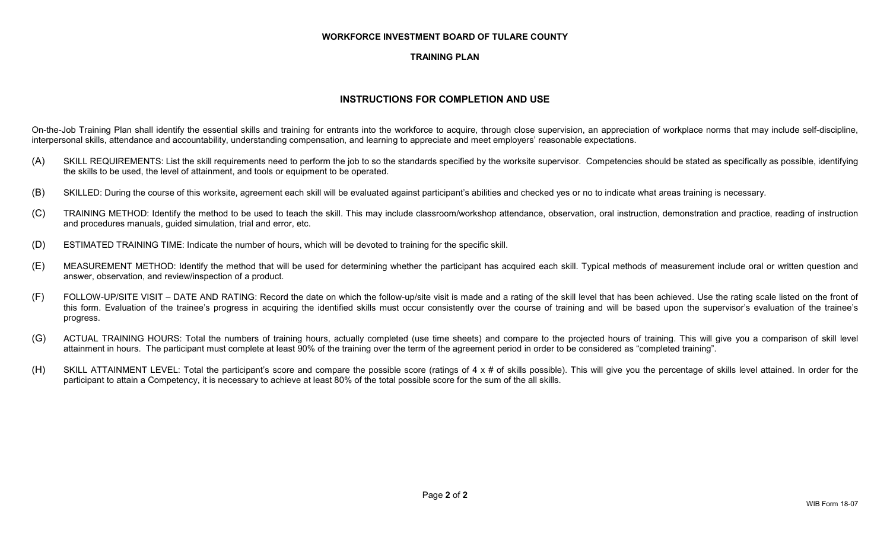#### **TRAINING PLAN**

## **INSTRUCTIONS FOR COMPLETION AND USE**

On-the-Job Training Plan shall identify the essential skills and training for entrants into the workforce to acquire, through close supervision, an appreciation of workplace norms that may include self-discipline, interpersonal skills, attendance and accountability, understanding compensation, and learning to appreciate and meet employers' reasonable expectations.

- (A) SKILL REQUIREMENTS: List the skill requirements need to perform the job to so the standards specified by the worksite supervisor. Competencies should be stated as specifically as possible, identifying the skills to be used, the level of attainment, and tools or equipment to be operated.
- (B) SKILLED: During the course of this worksite, agreement each skill will be evaluated against participant's abilities and checked yes or no to indicate what areas training is necessary.
- (C) TRAINING METHOD: Identify the method to be used to teach the skill. This may include classroom/workshop attendance, observation, oral instruction, demonstration and practice, reading of instruction and procedures manuals, guided simulation, trial and error, etc.
- (D) ESTIMATED TRAINING TIME: Indicate the number of hours, which will be devoted to training for the specific skill.
- (E) MEASUREMENT METHOD: Identify the method that will be used for determining whether the participant has acquired each skill. Typical methods of measurement include oral or written question and answer, observation, and review/inspection of a product.
- (F) FOLLOW-UP/SITE VISIT DATE AND RATING: Record the date on which the follow-up/site visit is made and a rating of the skill level that has been achieved. Use the rating scale listed on the front of this form. Evaluation of the trainee's progress in acquiring the identified skills must occur consistently over the course of training and will be based upon the supervisor's evaluation of the trainee's progress.
- (G) ACTUAL TRAINING HOURS: Total the numbers of training hours, actually completed (use time sheets) and compare to the projected hours of training. This will give you a comparison of skill level attainment in hours. The participant must complete at least 90% of the training over the term of the agreement period in order to be considered as "completed training".
- (H) SKILL ATTAINMENT LEVEL: Total the participant's score and compare the possible score (ratings of 4 x # of skills possible). This will give you the percentage of skills level attained. In order for the participant to attain a Competency, it is necessary to achieve at least 80% of the total possible score for the sum of the all skills.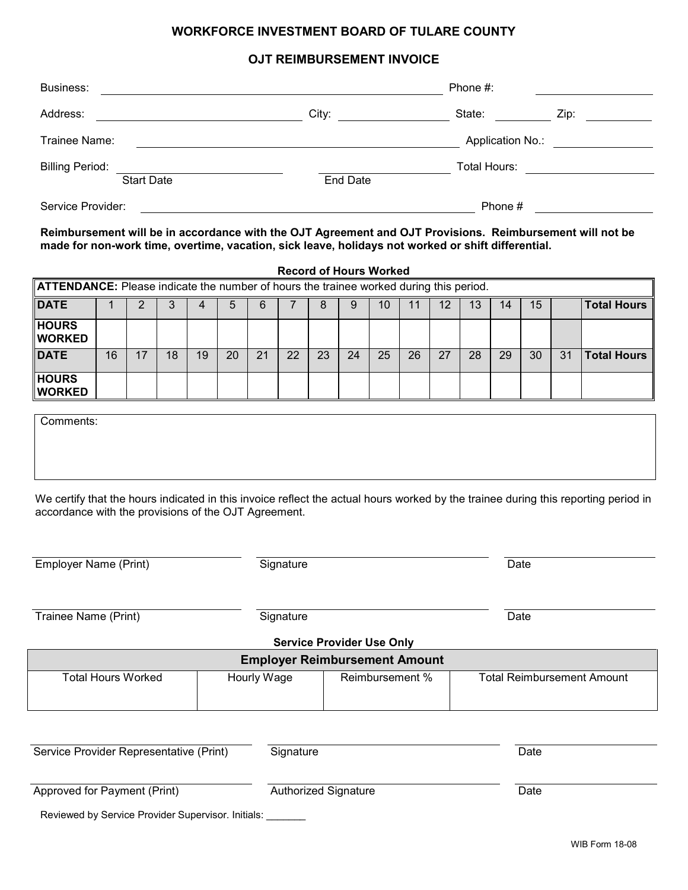#### **OJT REIMBURSEMENT INVOICE**

| Business:              |                   |                 | Phone #:         |      |
|------------------------|-------------------|-----------------|------------------|------|
| Address:               |                   | City:           | State:           | Zip: |
| Trainee Name:          |                   |                 | Application No.: |      |
| <b>Billing Period:</b> | <b>Start Date</b> | <b>End Date</b> | Total Hours:     |      |
| Service Provider:      |                   |                 | Phone#           |      |

**Reimbursement will be in accordance with the OJT Agreement and OJT Provisions. Reimbursement will not be made for non-work time, overtime, vacation, sick leave, holidays not worked or shift differential.**

**Record of Hours Worked**

| ATTENDANCE: Please indicate the number of hours the trainee worked during this period. |    |  |    |    |    |    |    |    |    |    |    |    |    |    |    |    |                    |
|----------------------------------------------------------------------------------------|----|--|----|----|----|----|----|----|----|----|----|----|----|----|----|----|--------------------|
| <b>DATE</b>                                                                            |    |  | 3  |    | 5  | b  |    |    | 9  | 10 | 11 | 12 | 13 | 14 | 15 |    | <b>Total Hours</b> |
| <b>HOURS</b><br><b>WORKED</b>                                                          |    |  |    |    |    |    |    |    |    |    |    |    |    |    |    |    |                    |
| <b>DATE</b>                                                                            | 16 |  | 18 | 19 | 20 | 21 | 22 | 23 | 24 | 25 | 26 | 27 | 28 | 29 | 30 | 31 | <b>Total Hours</b> |
| <b>HOURS</b><br><b>WORKED</b>                                                          |    |  |    |    |    |    |    |    |    |    |    |    |    |    |    |    |                    |

Comments:

We certify that the hours indicated in this invoice reflect the actual hours worked by the trainee during this reporting period in accordance with the provisions of the OJT Agreement.

Employer Name (Print) Signature Signature Date

Trainee Name (Print) **Signature Constant Constant Constant Constant Constant Constant Constant Constant Constant Constant Constant Constant Constant Constant Constant Constant Constant Constant Constant Constant Constant** 

#### **Service Provider Use Only**

| <b>Employer Reimbursement Amount</b> |             |                 |                                   |  |  |  |  |  |  |  |
|--------------------------------------|-------------|-----------------|-----------------------------------|--|--|--|--|--|--|--|
| Total Hours Worked                   | Hourly Wage | Reimbursement % | <b>Total Reimbursement Amount</b> |  |  |  |  |  |  |  |
|                                      |             |                 |                                   |  |  |  |  |  |  |  |

| Service Provider Representative (Print) | Signature | Date |
|-----------------------------------------|-----------|------|
|-----------------------------------------|-----------|------|

Approved for Payment (Print) **Authorized Signature Constant Constant Constant Constant Constant Constant Constant Constant Constant Constant Constant Constant Constant Constant Constant Constant Constant Constant Constan** 

Reviewed by Service Provider Supervisor. Initials: \_\_\_\_\_\_\_\_\_\_\_\_\_\_\_\_\_\_\_\_\_\_\_\_\_\_\_\_\_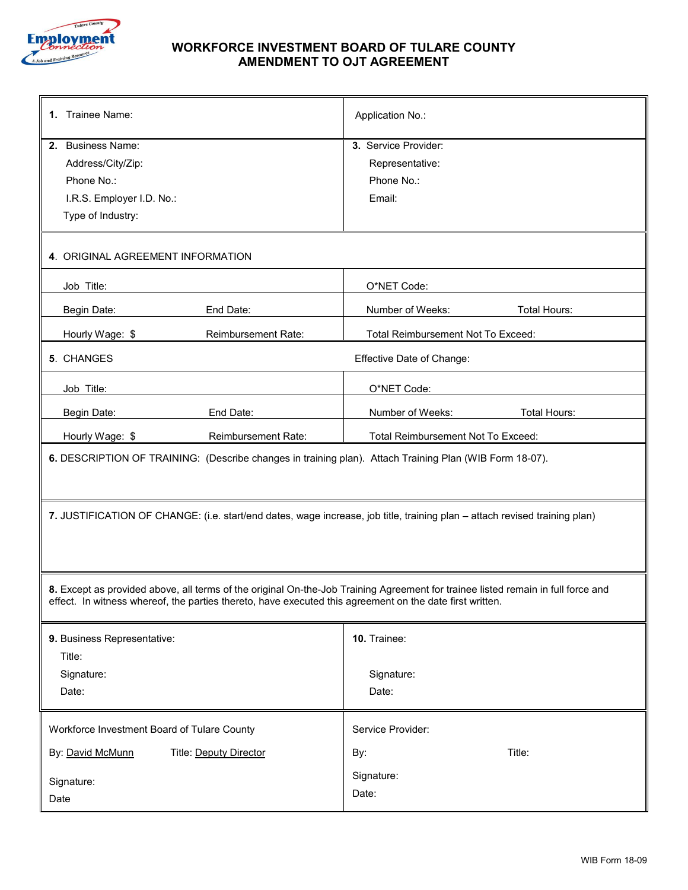

## **WORKFORCE INVESTMENT BOARD OF TULARE COUNTY AMENDMENT TO OJT AGREEMENT**

| 1. Trainee Name:                                                                                                                                                                                                                             | Application No.:                                                |
|----------------------------------------------------------------------------------------------------------------------------------------------------------------------------------------------------------------------------------------------|-----------------------------------------------------------------|
| <b>Business Name:</b><br>2.<br>Address/City/Zip:<br>Phone No.:<br>I.R.S. Employer I.D. No.:<br>Type of Industry:                                                                                                                             | 3. Service Provider:<br>Representative:<br>Phone No.:<br>Email: |
| 4. ORIGINAL AGREEMENT INFORMATION                                                                                                                                                                                                            |                                                                 |
| Job Title:                                                                                                                                                                                                                                   | O*NET Code:                                                     |
| End Date:<br>Begin Date:                                                                                                                                                                                                                     | Number of Weeks:<br><b>Total Hours:</b>                         |
| Hourly Wage: \$<br>Reimbursement Rate:                                                                                                                                                                                                       | Total Reimbursement Not To Exceed:                              |
| 5. CHANGES                                                                                                                                                                                                                                   | Effective Date of Change:                                       |
| Job Title:                                                                                                                                                                                                                                   | O*NET Code:                                                     |
| End Date:<br>Begin Date:                                                                                                                                                                                                                     | Number of Weeks:<br><b>Total Hours:</b>                         |
| Hourly Wage: \$<br>Reimbursement Rate:                                                                                                                                                                                                       | Total Reimbursement Not To Exceed:                              |
| 6. DESCRIPTION OF TRAINING: (Describe changes in training plan). Attach Training Plan (WIB Form 18-07).                                                                                                                                      |                                                                 |
| 7. JUSTIFICATION OF CHANGE: (i.e. start/end dates, wage increase, job title, training plan - attach revised training plan)                                                                                                                   |                                                                 |
| 8. Except as provided above, all terms of the original On-the-Job Training Agreement for trainee listed remain in full force and<br>effect. In witness whereof, the parties thereto, have executed this agreement on the date first written. |                                                                 |
| 9. Business Representative:<br>Title:                                                                                                                                                                                                        | 10. Trainee:                                                    |
| Signature:                                                                                                                                                                                                                                   | Signature:                                                      |
| Date:                                                                                                                                                                                                                                        | Date:                                                           |
| Workforce Investment Board of Tulare County                                                                                                                                                                                                  | Service Provider:                                               |
| By: David McMunn<br>Title: Deputy Director                                                                                                                                                                                                   | Title:<br>By:                                                   |
| Signature:                                                                                                                                                                                                                                   | Signature:                                                      |
| Date                                                                                                                                                                                                                                         | Date:                                                           |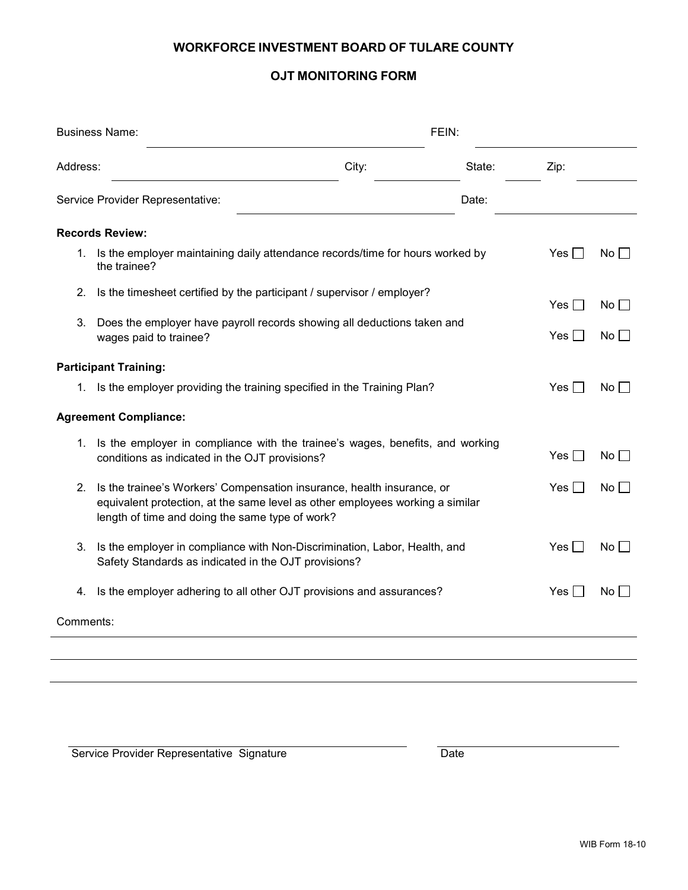#### **OJT MONITORING FORM**

|           | <b>Business Name:</b>                                                                                                                                                                                      | FEIN: |        |            |              |
|-----------|------------------------------------------------------------------------------------------------------------------------------------------------------------------------------------------------------------|-------|--------|------------|--------------|
| Address:  |                                                                                                                                                                                                            | City: | State: | Zip:       |              |
|           | Service Provider Representative:                                                                                                                                                                           |       | Date:  |            |              |
|           | <b>Records Review:</b>                                                                                                                                                                                     |       |        |            |              |
|           | 1. Is the employer maintaining daily attendance records/time for hours worked by<br>the trainee?                                                                                                           |       |        | Yes $\Box$ | No           |
| 2.        | Is the timesheet certified by the participant / supervisor / employer?                                                                                                                                     |       |        | Yes $\Box$ | $No \Box$    |
| 3.        | Does the employer have payroll records showing all deductions taken and                                                                                                                                    |       |        |            |              |
|           | wages paid to trainee?                                                                                                                                                                                     |       |        | Yes $\Box$ | $No \Box$    |
|           | <b>Participant Training:</b>                                                                                                                                                                               |       |        |            |              |
|           | 1. Is the employer providing the training specified in the Training Plan?                                                                                                                                  |       |        | $Yes$      | $No \Box$    |
|           | <b>Agreement Compliance:</b>                                                                                                                                                                               |       |        |            |              |
| 1.        | Is the employer in compliance with the trainee's wages, benefits, and working<br>conditions as indicated in the OJT provisions?                                                                            |       |        | Yes $\Box$ | No           |
|           |                                                                                                                                                                                                            |       |        |            |              |
| 2.        | Is the trainee's Workers' Compensation insurance, health insurance, or<br>equivalent protection, at the same level as other employees working a similar<br>length of time and doing the same type of work? |       |        | Yes $\Box$ | No II        |
| 3.        | Is the employer in compliance with Non-Discrimination, Labor, Health, and<br>Safety Standards as indicated in the OJT provisions?                                                                          |       |        | Yes        | No           |
| 4.        | Is the employer adhering to all other OJT provisions and assurances?                                                                                                                                       |       |        | $Yes$      | $No$ $\vert$ |
| Comments: |                                                                                                                                                                                                            |       |        |            |              |

Service Provider Representative Signature **Date**